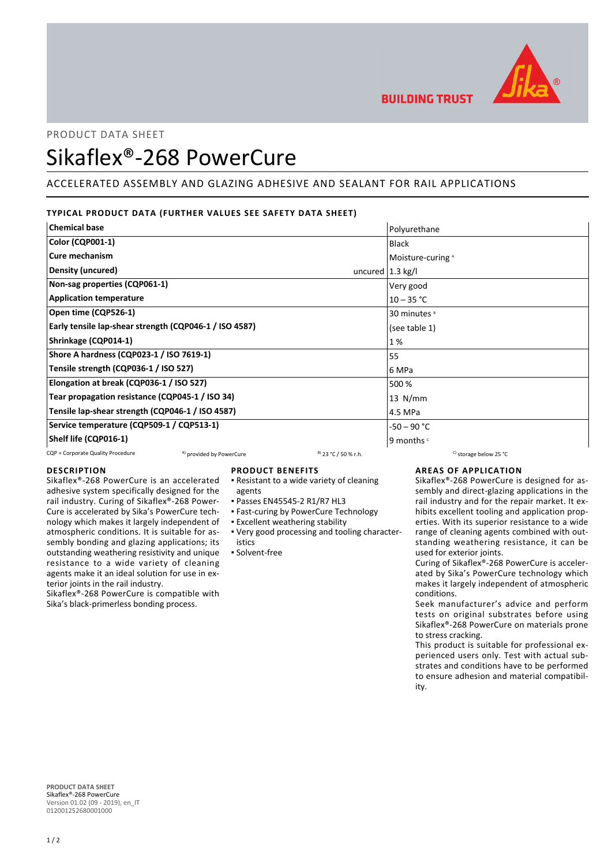

PRODUCT DATA SHEET

# Sikaflex®-268 PowerCure

## ACCELERATED ASSEMBLY AND GLAZING ADHESIVE AND SEALANT FOR RAIL APPLICATIONS

## **TYPICAL PRODUCT DATA (FURTHER VALUES SEE SAFETY DATA SHEET)**

| <b>Chemical base</b>                                   | Polyurethane                |  |
|--------------------------------------------------------|-----------------------------|--|
| <b>Color (CQP001-1)</b>                                | Black                       |  |
| Cure mechanism                                         | Moisture-curing A           |  |
| Density (uncured)                                      | uncured $ 1.3 \text{ kg}/ $ |  |
| Non-sag properties (CQP061-1)                          | Very good                   |  |
| <b>Application temperature</b><br>$10 - 35 °C$         |                             |  |
| Open time (CQP526-1)<br>30 minutes <sup>8</sup>        |                             |  |
| Early tensile lap-shear strength (CQP046-1 / ISO 4587) | (see table 1)               |  |
| Shrinkage (CQP014-1)                                   | 1%                          |  |
| Shore A hardness (CQP023-1 / ISO 7619-1)<br>55         |                             |  |
| Tensile strength (CQP036-1 / ISO 527)                  | 6 MPa                       |  |
| Elongation at break (CQP036-1 / ISO 527)               | 500 %                       |  |
| Tear propagation resistance (CQP045-1 / ISO 34)        | $13$ N/mm                   |  |
| Tensile lap-shear strength (CQP046-1 / ISO 4587)       | 4.5 MPa                     |  |
| Service temperature (CQP509-1 / CQP513-1)              | -50 – 90 °C                 |  |
| Shelf life (CQP016-1)                                  | 9 months c                  |  |

#### CQP = Corporate Quality Procedure  $A)$  provided by PowerCure  $B$  23 °C / 50 % r.h. C) storage below 25 °C

## **DESCRIPTION**

Sikaflex®-268 PowerCure is an accelerated adhesive system specifically designed for the rail industry. Curing of Sikaflex®-268 Power-Cure is accelerated by Sika's PowerCure technology which makes it largely independent of atmospheric conditions. It is suitable for assembly bonding and glazing applications; its outstanding weathering resistivity and unique resistance to a wide variety of cleaning agents make it an ideal solution for use in exterior joints in the rail industry.

#### Sikaflex®-268 PowerCure is compatible with Sika's black-primerless bonding process.

## **PRODUCT BENEFITS**

- **Resistant to a wide variety of cleaning** agents
- Passes EN45545-2 R1/R7 HL3
- **East-curing by PowerCure Technology** 
	- **Excellent weathering stability**
- Very good processing and tooling character-▪ istics
- Solvent-free

#### **AREAS OF APPLICATION**

Sikaflex®-268 PowerCure is designed for assembly and direct-glazing applications in the rail industry and for the repair market. It exhibits excellent tooling and application properties. With its superior resistance to a wide range of cleaning agents combined with outstanding weathering resistance, it can be used for exterior joints.

Curing of Sikaflex®-268 PowerCure is accelerated by Sika's PowerCure technology which makes it largely independent of atmospheric conditions.

Seek manufacturer's advice and perform tests on original substrates before using Sikaflex®-268 PowerCure on materials prone to stress cracking.

This product is suitable for professional experienced users only. Test with actual substrates and conditions have to be performed to ensure adhesion and material compatibility.

**PRODUCT DATA SHEET** Sikaflex®-268 PowerCure Version 01.02 (09 - 2019), en\_IT 012001252680001000